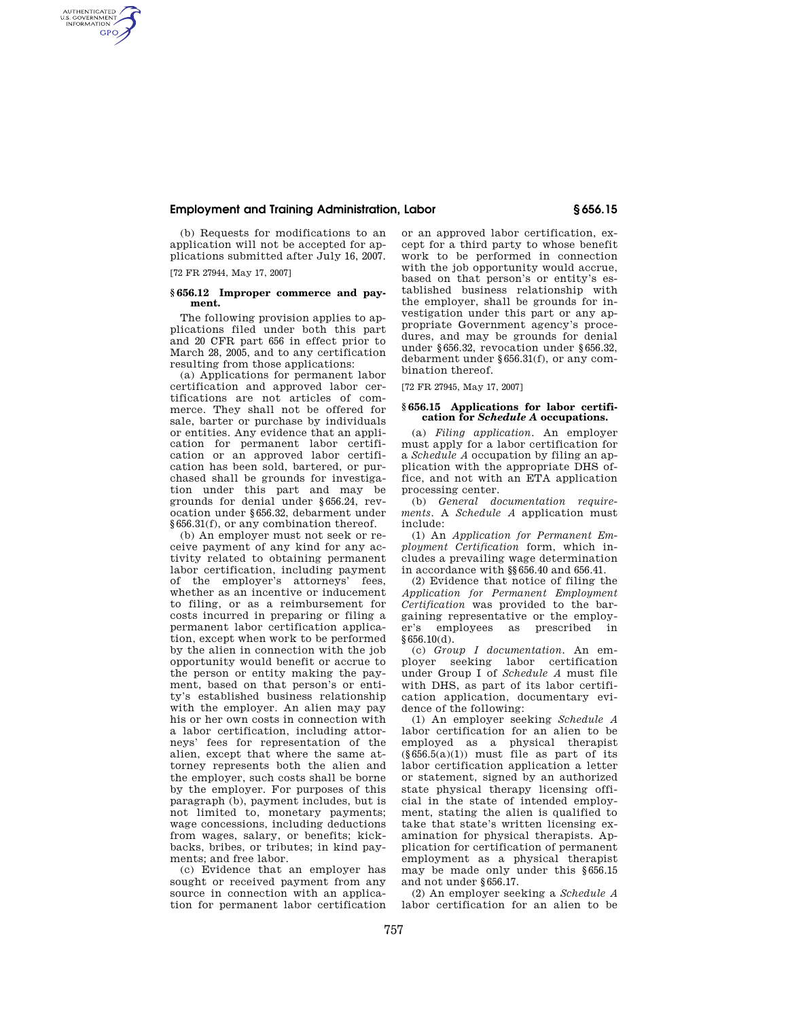## **Employment and Training Administration, Labor § 656.15**

(b) Requests for modifications to an application will not be accepted for applications submitted after July 16, 2007.

[72 FR 27944, May 17, 2007]

AUTHENTICATED<br>U.S. GOVERNMENT<br>INFORMATION **GPO** 

### **§ 656.12 Improper commerce and payment.**

The following provision applies to applications filed under both this part and 20 CFR part 656 in effect prior to March 28, 2005, and to any certification resulting from those applications:

(a) Applications for permanent labor certification and approved labor certifications are not articles of commerce. They shall not be offered for sale, barter or purchase by individuals or entities. Any evidence that an application for permanent labor certification or an approved labor certification has been sold, bartered, or purchased shall be grounds for investigation under this part and may be grounds for denial under §656.24, revocation under §656.32, debarment under §656.31(f), or any combination thereof.

(b) An employer must not seek or receive payment of any kind for any activity related to obtaining permanent labor certification, including payment of the employer's attorneys' fees, whether as an incentive or inducement to filing, or as a reimbursement for costs incurred in preparing or filing a permanent labor certification application, except when work to be performed by the alien in connection with the job opportunity would benefit or accrue to the person or entity making the payment, based on that person's or entity's established business relationship with the employer. An alien may pay his or her own costs in connection with a labor certification, including attorneys' fees for representation of the alien, except that where the same attorney represents both the alien and the employer, such costs shall be borne by the employer. For purposes of this paragraph (b), payment includes, but is not limited to, monetary payments; wage concessions, including deductions from wages, salary, or benefits; kickbacks, bribes, or tributes; in kind payments; and free labor.

(c) Evidence that an employer has sought or received payment from any source in connection with an application for permanent labor certification or an approved labor certification, except for a third party to whose benefit work to be performed in connection with the job opportunity would accrue, based on that person's or entity's established business relationship with the employer, shall be grounds for investigation under this part or any appropriate Government agency's procedures, and may be grounds for denial under §656.32, revocation under §656.32, debarment under §656.31(f), or any combination thereof.

[72 FR 27945, May 17, 2007]

#### **§ 656.15 Applications for labor certification for** *Schedule A* **occupations.**

(a) *Filing application.* An employer must apply for a labor certification for a *Schedule A* occupation by filing an application with the appropriate DHS office, and not with an ETA application processing center.

(b) *General documentation requirements.* A *Schedule A* application must include:

(1) An *Application for Permanent Employment Certification* form, which includes a prevailing wage determination in accordance with §§656.40 and 656.41.

(2) Evidence that notice of filing the *Application for Permanent Employment Certification* was provided to the bargaining representative or the employer's employees as prescribed in §656.10(d).

(c) *Group I documentation.* An employer seeking labor certification under Group I of *Schedule A* must file with DHS, as part of its labor certification application, documentary evidence of the following:

(1) An employer seeking *Schedule A*  labor certification for an alien to be employed as a physical therapist  $(\S 656.5(a)(1))$  must file as part of its labor certification application a letter or statement, signed by an authorized state physical therapy licensing official in the state of intended employment, stating the alien is qualified to take that state's written licensing examination for physical therapists. Application for certification of permanent employment as a physical therapist may be made only under this §656.15 and not under §656.17.

(2) An employer seeking a *Schedule A*  labor certification for an alien to be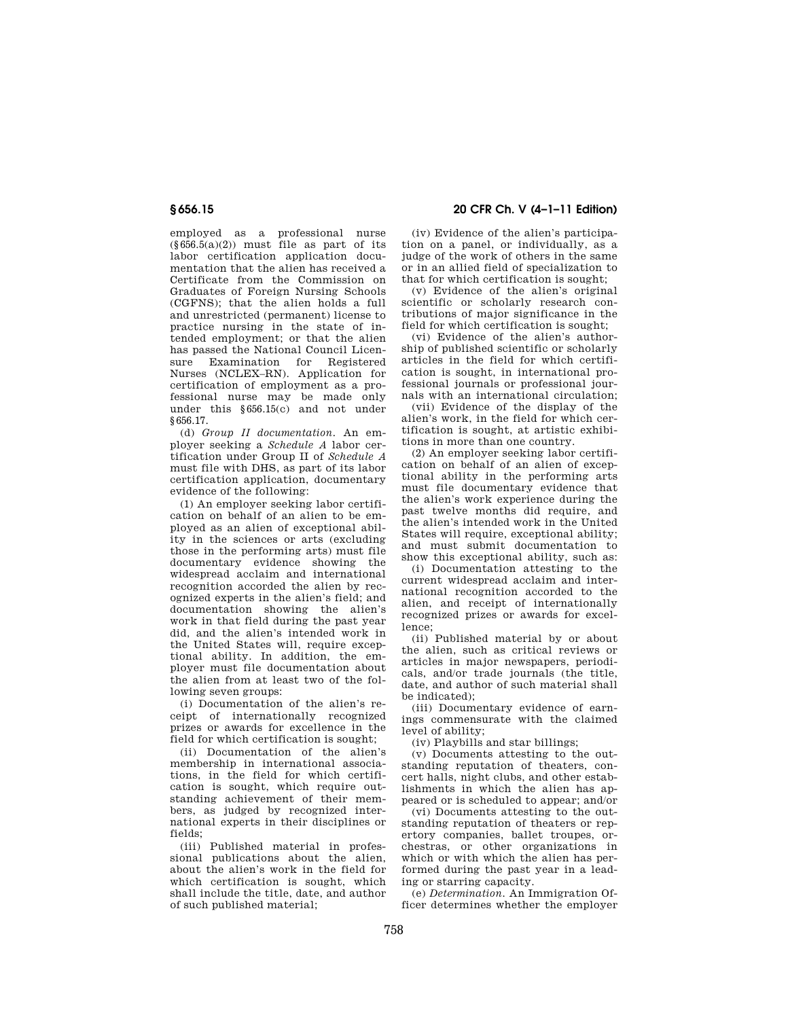# **§ 656.15 20 CFR Ch. V (4–1–11 Edition)**

employed as a professional nurse  $(\S 656.5(a)(2))$  must file as part of its labor certification application documentation that the alien has received a Certificate from the Commission on Graduates of Foreign Nursing Schools (CGFNS); that the alien holds a full and unrestricted (permanent) license to practice nursing in the state of intended employment; or that the alien has passed the National Council Licensure Examination for Registered Nurses (NCLEX–RN). Application for certification of employment as a professional nurse may be made only under this §656.15(c) and not under §656.17.

(d) *Group II documentation.* An employer seeking a *Schedule A* labor certification under Group II of *Schedule A*  must file with DHS, as part of its labor certification application, documentary evidence of the following:

(1) An employer seeking labor certification on behalf of an alien to be employed as an alien of exceptional ability in the sciences or arts (excluding those in the performing arts) must file documentary evidence showing the widespread acclaim and international recognition accorded the alien by recognized experts in the alien's field; and documentation showing the alien's work in that field during the past year did, and the alien's intended work in the United States will, require exceptional ability. In addition, the employer must file documentation about the alien from at least two of the following seven groups:

(i) Documentation of the alien's receipt of internationally recognized prizes or awards for excellence in the field for which certification is sought;

(ii) Documentation of the alien's membership in international associations, in the field for which certification is sought, which require outstanding achievement of their members, as judged by recognized international experts in their disciplines or fields;

(iii) Published material in professional publications about the alien, about the alien's work in the field for which certification is sought, which shall include the title, date, and author of such published material;

(iv) Evidence of the alien's participation on a panel, or individually, as a judge of the work of others in the same or in an allied field of specialization to that for which certification is sought;

(v) Evidence of the alien's original scientific or scholarly research contributions of major significance in the field for which certification is sought;

(vi) Evidence of the alien's authorship of published scientific or scholarly articles in the field for which certification is sought, in international professional journals or professional journals with an international circulation;

(vii) Evidence of the display of the alien's work, in the field for which certification is sought, at artistic exhibitions in more than one country.

(2) An employer seeking labor certification on behalf of an alien of exceptional ability in the performing arts must file documentary evidence that the alien's work experience during the past twelve months did require, and the alien's intended work in the United States will require, exceptional ability; and must submit documentation to show this exceptional ability, such as:

(i) Documentation attesting to the current widespread acclaim and international recognition accorded to the alien, and receipt of internationally recognized prizes or awards for excellence;

(ii) Published material by or about the alien, such as critical reviews or articles in major newspapers, periodicals, and/or trade journals (the title, date, and author of such material shall be indicated);

(iii) Documentary evidence of earnings commensurate with the claimed level of ability;

(iv) Playbills and star billings;

(v) Documents attesting to the outstanding reputation of theaters, concert halls, night clubs, and other establishments in which the alien has appeared or is scheduled to appear; and/or

(vi) Documents attesting to the outstanding reputation of theaters or repertory companies, ballet troupes, orchestras, or other organizations in which or with which the alien has performed during the past year in a leading or starring capacity.

(e) *Determination.* An Immigration Officer determines whether the employer